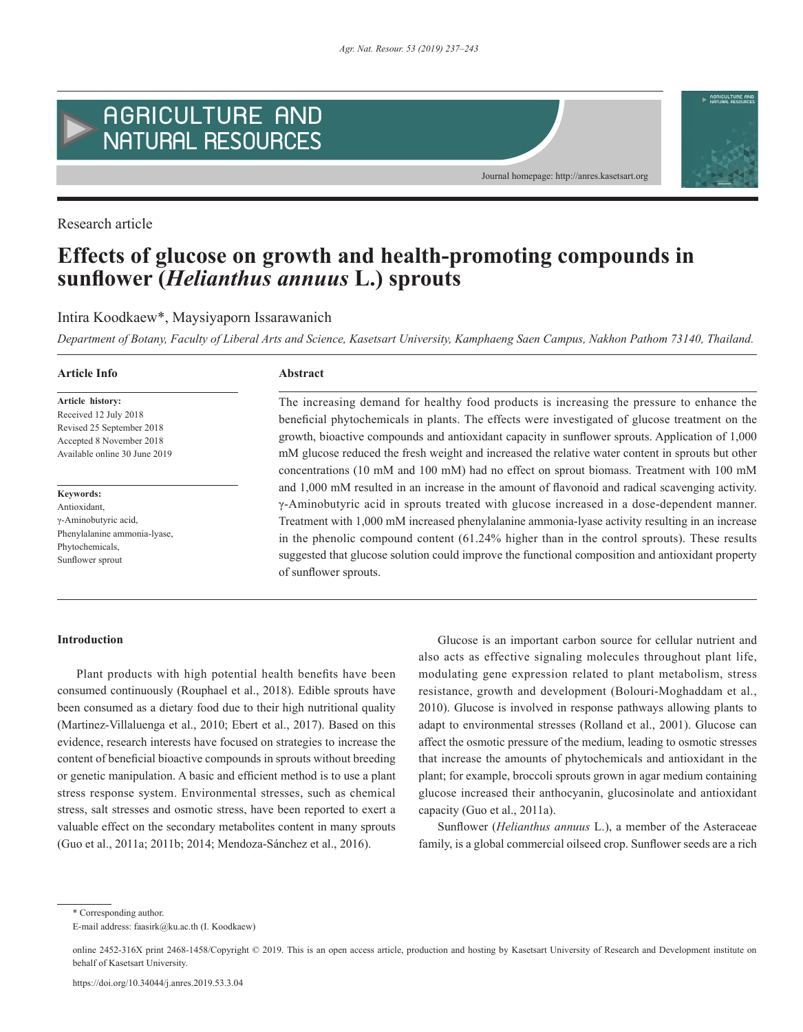

Research article

# **Effects of glucose on growth and health-promoting compounds in sunflower (***Helianthus annuus* **L.) sprouts**

# Intira Koodkaew\*, Maysiyaporn Issarawanich

*Department of Botany, Faculty of Liberal Arts and Science, Kasetsart University, Kamphaeng Saen Campus, Nakhon Pathom 73140, Thailand.*

#### **Article Info Abstract**

**Article history:** Received 12 July 2018 Revised 25 September 2018 Accepted 8 November 2018 Available online 30 June 2019

**Keywords:** Antioxidant, γ-Aminobutyric acid, Phenylalanine ammonia-lyase, Phytochemicals, Sunflower sprout

The increasing demand for healthy food products is increasing the pressure to enhance the beneficial phytochemicals in plants. The effects were investigated of glucose treatment on the growth, bioactive compounds and antioxidant capacity in sunflower sprouts. Application of 1,000 mM glucose reduced the fresh weight and increased the relative water content in sprouts but other concentrations (10 mM and 100 mM) had no effect on sprout biomass. Treatment with 100 mM and 1,000 mM resulted in an increase in the amount of flavonoid and radical scavenging activity. γ-Aminobutyric acid in sprouts treated with glucose increased in a dose-dependent manner. Treatment with 1,000 mM increased phenylalanine ammonia-lyase activity resulting in an increase in the phenolic compound content (61.24% higher than in the control sprouts). These results suggested that glucose solution could improve the functional composition and antioxidant property of sunflower sprouts.

### **Introduction**

Plant products with high potential health benefits have been consumed continuously (Rouphael et al., 2018). Edible sprouts have been consumed as a dietary food due to their high nutritional quality (Martinez-Villaluenga et al., 2010; Ebert et al., 2017). Based on this evidence, research interests have focused on strategies to increase the content of beneficial bioactive compounds in sprouts without breeding or genetic manipulation. A basic and efficient method is to use a plant stress response system. Environmental stresses, such as chemical stress, salt stresses and osmotic stress, have been reported to exert a valuable effect on the secondary metabolites content in many sprouts (Guo et al., 2011a; 2011b; 2014; Mendoza-Sánchez et al., 2016).

Glucose is an important carbon source for cellular nutrient and also acts as effective signaling molecules throughout plant life, modulating gene expression related to plant metabolism, stress resistance, growth and development (Bolouri-Moghaddam et al., 2010). Glucose is involved in response pathways allowing plants to adapt to environmental stresses (Rolland et al., 2001). Glucose can affect the osmotic pressure of the medium, leading to osmotic stresses that increase the amounts of phytochemicals and antioxidant in the plant; for example, broccoli sprouts grown in agar medium containing glucose increased their anthocyanin, glucosinolate and antioxidant capacity (Guo et al., 2011a).

Sunflower (*Helianthus annuus* L.), a member of the Asteraceae family, is a global commercial oilseed crop. Sunflower seeds are a rich

\* Corresponding author. E-mail address: faasirk@ku.ac.th (I. Koodkaew)

online 2452-316X print 2468-1458/Copyright © 2019. This is an open access article, production and hosting by Kasetsart University of Research and Development institute on behalf of Kasetsart University.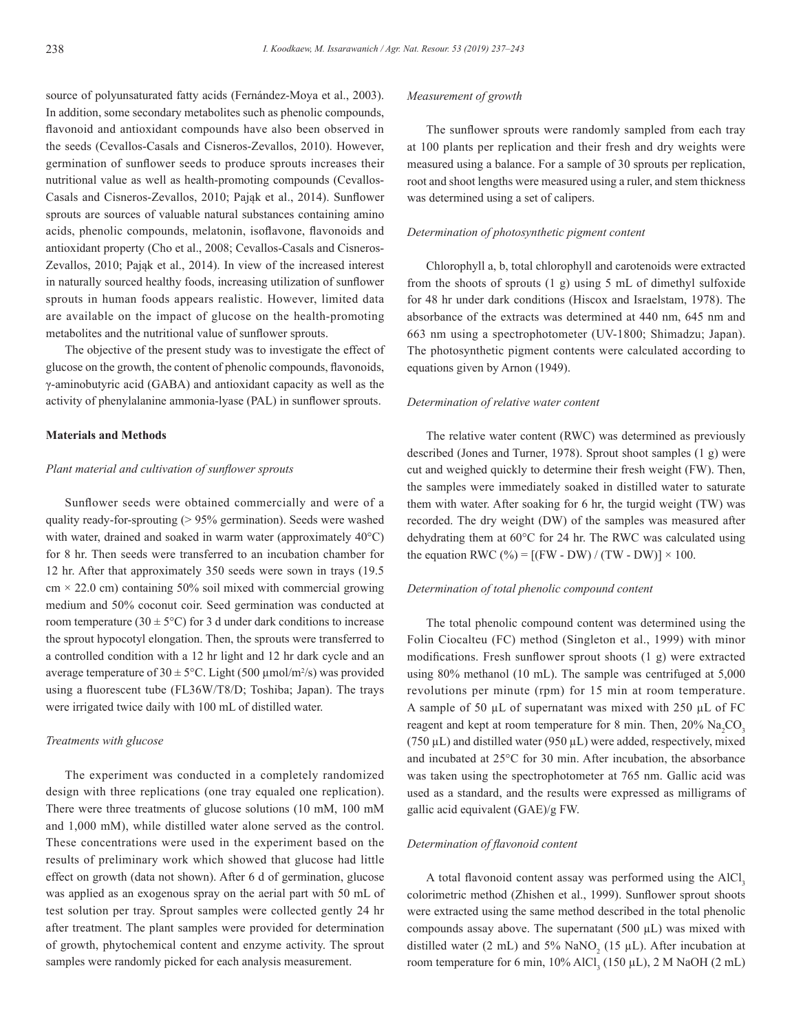source of polyunsaturated fatty acids (Fernández-Moya et al., 2003). In addition, some secondary metabolites such as phenolic compounds, flavonoid and antioxidant compounds have also been observed in the seeds (Cevallos-Casals and Cisneros-Zevallos, 2010). However, germination of sunflower seeds to produce sprouts increases their nutritional value as well as health-promoting compounds (Cevallos-Casals and Cisneros-Zevallos, 2010; Pająk et al., 2014). Sunflower sprouts are sources of valuable natural substances containing amino acids, phenolic compounds, melatonin, isoflavone, flavonoids and antioxidant property (Cho et al., 2008; Cevallos-Casals and Cisneros-Zevallos, 2010; Pająk et al., 2014). In view of the increased interest in naturally sourced healthy foods, increasing utilization of sunflower sprouts in human foods appears realistic. However, limited data are available on the impact of glucose on the health-promoting metabolites and the nutritional value of sunflower sprouts.

The objective of the present study was to investigate the effect of glucose on the growth, the content of phenolic compounds, flavonoids, γ-aminobutyric acid (GABA) and antioxidant capacity as well as the activity of phenylalanine ammonia-lyase (PAL) in sunflower sprouts.

#### **Materials and Methods**

# *Plant material and cultivation of sunflower sprouts*

Sunflower seeds were obtained commercially and were of a quality ready-for-sprouting (> 95% germination). Seeds were washed with water, drained and soaked in warm water (approximately 40°C) for 8 hr. Then seeds were transferred to an incubation chamber for 12 hr. After that approximately 350 seeds were sown in trays (19.5  $cm \times 22.0$  cm) containing 50% soil mixed with commercial growing medium and 50% coconut coir. Seed germination was conducted at room temperature (30  $\pm$  5°C) for 3 d under dark conditions to increase the sprout hypocotyl elongation. Then, the sprouts were transferred to a controlled condition with a 12 hr light and 12 hr dark cycle and an average temperature of  $30 \pm 5^{\circ}$ C. Light (500 µmol/m<sup>2</sup>/s) was provided using a fluorescent tube (FL36W/T8/D; Toshiba; Japan). The trays were irrigated twice daily with 100 mL of distilled water.

#### *Treatments with glucose*

The experiment was conducted in a completely randomized design with three replications (one tray equaled one replication). There were three treatments of glucose solutions (10 mM, 100 mM and 1,000 mM), while distilled water alone served as the control. These concentrations were used in the experiment based on the results of preliminary work which showed that glucose had little effect on growth (data not shown). After 6 d of germination, glucose was applied as an exogenous spray on the aerial part with 50 mL of test solution per tray. Sprout samples were collected gently 24 hr after treatment. The plant samples were provided for determination of growth, phytochemical content and enzyme activity. The sprout samples were randomly picked for each analysis measurement.

#### *Measurement of growth*

The sunflower sprouts were randomly sampled from each tray at 100 plants per replication and their fresh and dry weights were measured using a balance. For a sample of 30 sprouts per replication, root and shoot lengths were measured using a ruler, and stem thickness was determined using a set of calipers.

#### *Determination of photosynthetic pigment content*

Chlorophyll a, b, total chlorophyll and carotenoids were extracted from the shoots of sprouts (1 g) using 5 mL of dimethyl sulfoxide for 48 hr under dark conditions (Hiscox and Israelstam, 1978). The absorbance of the extracts was determined at 440 nm, 645 nm and 663 nm using a spectrophotometer (UV-1800; Shimadzu; Japan). The photosynthetic pigment contents were calculated according to equations given by Arnon (1949).

#### *Determination of relative water content*

The relative water content (RWC) was determined as previously described (Jones and Turner, 1978). Sprout shoot samples (1 g) were cut and weighed quickly to determine their fresh weight (FW). Then, the samples were immediately soaked in distilled water to saturate them with water. After soaking for 6 hr, the turgid weight (TW) was recorded. The dry weight (DW) of the samples was measured after dehydrating them at 60°C for 24 hr. The RWC was calculated using the equation RWC (%) =  $[(FW - DW) / (TW - DW)] \times 100$ .

#### *Determination of total phenolic compound content*

The total phenolic compound content was determined using the Folin Ciocalteu (FC) method (Singleton et al., 1999) with minor modifications. Fresh sunflower sprout shoots (1 g) were extracted using 80% methanol (10 mL). The sample was centrifuged at 5,000 revolutions per minute (rpm) for 15 min at room temperature. A sample of 50 µL of supernatant was mixed with 250 µL of FC reagent and kept at room temperature for 8 min. Then,  $20\%$   $\text{Na}_2\text{CO}_3$ (750  $\mu$ L) and distilled water (950  $\mu$ L) were added, respectively, mixed and incubated at 25°C for 30 min. After incubation, the absorbance was taken using the spectrophotometer at 765 nm. Gallic acid was used as a standard, and the results were expressed as milligrams of gallic acid equivalent (GAE)/g FW.

#### *Determination of flavonoid content*

A total flavonoid content assay was performed using the AlCl<sub>3</sub> colorimetric method (Zhishen et al., 1999). Sunflower sprout shoots were extracted using the same method described in the total phenolic compounds assay above. The supernatant  $(500 \mu L)$  was mixed with distilled water (2 mL) and 5% NaNO<sub>2</sub> (15  $\mu$ L). After incubation at room temperature for 6 min,  $10\%$  AlCl<sub>3</sub> (150  $\mu$ L), 2 M NaOH (2 mL)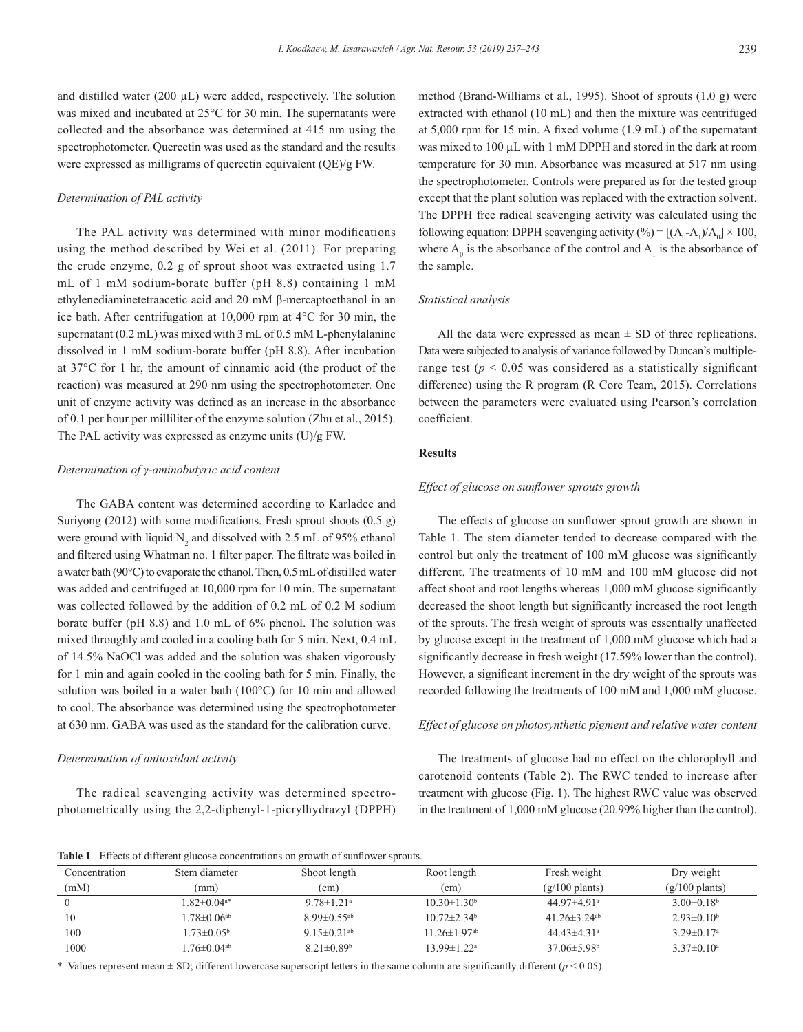and distilled water (200  $\mu$ L) were added, respectively. The solution was mixed and incubated at 25°C for 30 min. The supernatants were collected and the absorbance was determined at 415 nm using the spectrophotometer. Quercetin was used as the standard and the results were expressed as milligrams of quercetin equivalent (QE)/g FW.

#### *Determination of PAL activity*

The PAL activity was determined with minor modifications using the method described by Wei et al. (2011). For preparing the crude enzyme, 0.2 g of sprout shoot was extracted using 1.7 mL of 1 mM sodium-borate buffer (pH 8.8) containing 1 mM ethylenediaminetetraacetic acid and 20 mM β-mercaptoethanol in an ice bath. After centrifugation at 10,000 rpm at 4°C for 30 min, the supernatant (0.2 mL) was mixed with 3 mL of 0.5 mM L-phenylalanine dissolved in 1 mM sodium-borate buffer (pH 8.8). After incubation at 37°C for 1 hr, the amount of cinnamic acid (the product of the reaction) was measured at 290 nm using the spectrophotometer. One unit of enzyme activity was defined as an increase in the absorbance of 0.1 per hour per milliliter of the enzyme solution (Zhu et al., 2015). The PAL activity was expressed as enzyme units (U)/g FW.

#### *Determination of γ-aminobutyric acid content*

The GABA content was determined according to Karladee and Suriyong (2012) with some modifications. Fresh sprout shoots (0.5 g) were ground with liquid  $N_2$  and dissolved with 2.5 mL of 95% ethanol and filtered using Whatman no. 1 filter paper. The filtrate was boiled in a water bath (90°C) to evaporate the ethanol. Then, 0.5 mL of distilled water was added and centrifuged at 10,000 rpm for 10 min. The supernatant was collected followed by the addition of 0.2 mL of 0.2 M sodium borate buffer (pH 8.8) and 1.0 mL of 6% phenol. The solution was mixed throughly and cooled in a cooling bath for 5 min. Next, 0.4 mL of 14.5% NaOCl was added and the solution was shaken vigorously for 1 min and again cooled in the cooling bath for 5 min. Finally, the solution was boiled in a water bath (100°C) for 10 min and allowed to cool. The absorbance was determined using the spectrophotometer at 630 nm. GABA was used as the standard for the calibration curve.

#### *Determination of antioxidant activity*

The radical scavenging activity was determined spectrophotometrically using the 2,2-diphenyl-1-picrylhydrazyl (DPPH) method (Brand-Williams et al., 1995). Shoot of sprouts (1.0 g) were extracted with ethanol (10 mL) and then the mixture was centrifuged at 5,000 rpm for 15 min. A fixed volume (1.9 mL) of the supernatant was mixed to 100  $\mu$ L with 1 mM DPPH and stored in the dark at room temperature for 30 min. Absorbance was measured at 517 nm using the spectrophotometer. Controls were prepared as for the tested group except that the plant solution was replaced with the extraction solvent. The DPPH free radical scavenging activity was calculated using the following equation: DPPH scavenging activity  $(\% ) = [(A_0 - A_1)/A_0] \times 100,$ where  $A_0$  is the absorbance of the control and  $A_1$  is the absorbance of the sample.

#### *Statistical analysis*

All the data were expressed as mean  $\pm$  SD of three replications. Data were subjected to analysis of variance followed by Duncan's multiplerange test ( $p < 0.05$  was considered as a statistically significant difference) using the R program (R Core Team, 2015). Correlations between the parameters were evaluated using Pearson's correlation coefficient.

#### **Results**

#### *Effect of glucose on sunflower sprouts growth*

The effects of glucose on sunflower sprout growth are shown in Table 1. The stem diameter tended to decrease compared with the control but only the treatment of 100 mM glucose was significantly different. The treatments of 10 mM and 100 mM glucose did not affect shoot and root lengths whereas 1,000 mM glucose significantly decreased the shoot length but significantly increased the root length of the sprouts. The fresh weight of sprouts was essentially unaffected by glucose except in the treatment of 1,000 mM glucose which had a significantly decrease in fresh weight (17.59% lower than the control). However, a significant increment in the dry weight of the sprouts was recorded following the treatments of 100 mM and 1,000 mM glucose.

#### *Effect of glucose on photosynthetic pigment and relative water content*

The treatments of glucose had no effect on the chlorophyll and carotenoid contents (Table 2). The RWC tended to increase after treatment with glucose (Fig. 1). The highest RWC value was observed in the treatment of 1,000 mM glucose (20.99% higher than the control).

**Table 1** Effects of different glucose concentrations on growth of sunflower sprouts.

| Concentration | Stem diameter                | Shoot length                  | Root length                    | Fresh weight                   | Dry weight                   |
|---------------|------------------------------|-------------------------------|--------------------------------|--------------------------------|------------------------------|
| (mM)          | (mm)                         | (cm)                          | (cm)                           | $(g/100 \text{ plants})$       | $(g/100 \text{ plants})$     |
|               | $82\pm0.04$ <sup>a*</sup>    | $9.78 \pm 1.21$ <sup>a</sup>  | $10.30 \pm 1.30^b$             | 44.97 $\pm$ 4.91 <sup>a</sup>  | $3.00\pm0.18^{\rm b}$        |
| 10            | $78 \pm 0.06$ <sup>ab</sup>  | $8.99 \pm 0.55$ <sup>ab</sup> | $10.72 \pm 2.34$ <sup>b</sup>  | 41.26 $\pm$ 3.24 <sup>ab</sup> | $2.93\pm0.10^b$              |
| 100           | $1.73 \pm 0.05^{\circ}$      | 9.15 $\pm$ 0.21 <sup>ab</sup> | $11.26 \pm 1.97$ <sup>ab</sup> | 44.43 $\pm$ 4.31 <sup>a</sup>  | $3.29 \pm 0.17$ <sup>a</sup> |
| 1000          | .76 $\pm$ 0.04 <sup>ab</sup> | $8.21 \pm 0.89$ <sup>b</sup>  | $13.99 \pm 1.22$ <sup>a</sup>  | $37.06 \pm 5.98$ <sup>b</sup>  | $3.37 \pm 0.10^a$            |

\* Values represent mean ± SD; different lowercase superscript letters in the same column are significantly different (*p* < 0.05).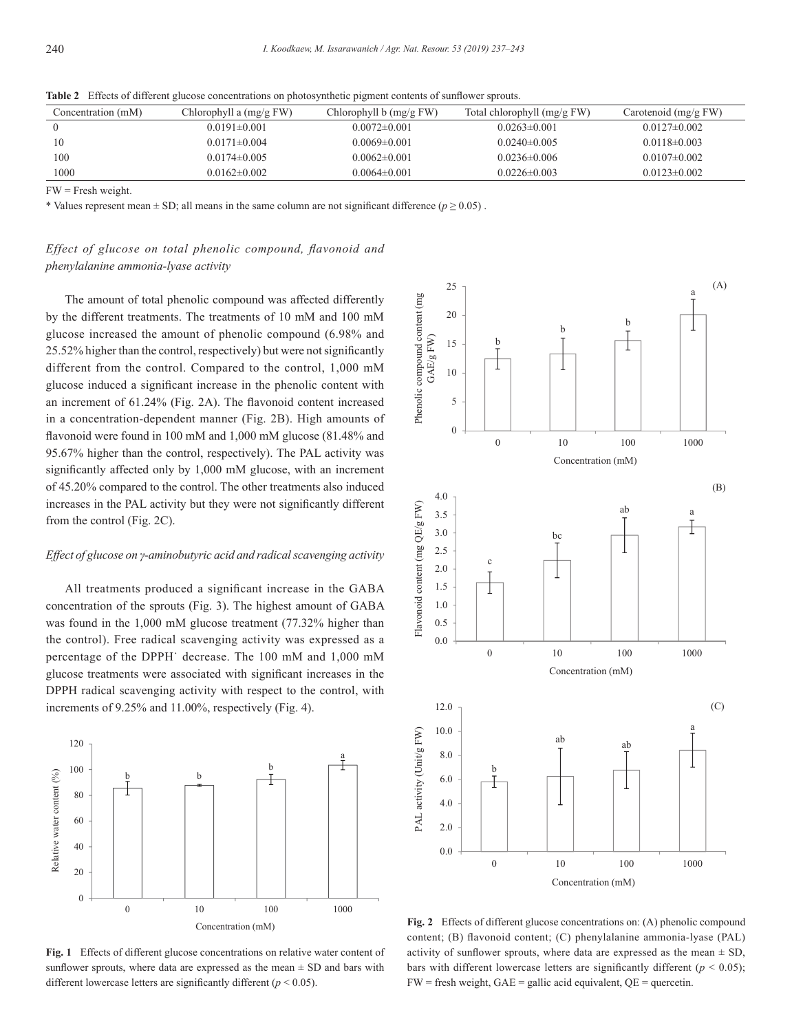| Concentration (mM) | Chlorophyll a $(mg/g FW)$ | Chlorophyll $b$ (mg/g FW) | Total chlorophyll (mg/g FW) | Carotenoid $(mg/gFW)$ |
|--------------------|---------------------------|---------------------------|-----------------------------|-----------------------|
|                    | $0.0191 \pm 0.001$        | $0.0072 \pm 0.001$        | $0.0263\pm0.001$            | $0.0127\pm0.002$      |
|                    | $0.0171\pm0.004$          | $0.0069 \pm 0.001$        | $0.0240 \pm 0.005$          | $0.0118\pm0.003$      |
| 100                | $0.0174\pm0.005$          | $0.0062\pm0.001$          | $0.0236\pm0.006$            | $0.0107\pm0.002$      |
| 1000               | $0.0162\pm0.002$          | $0.0064\pm0.001$          | $0.0226 \pm 0.003$          | $0.0123\pm0.002$      |

**Table 2** Effects of different glucose concentrations on photosynthetic pigment contents of sunflower sprouts.

FW = Fresh weight.

\* Values represent mean  $\pm$  SD; all means in the same column are not significant difference ( $p \ge 0.05$ ).

# *Effect of glucose on total phenolic compound, flavonoid and phenylalanine ammonia-lyase activity*

The amount of total phenolic compound was affected differently by the different treatments. The treatments of 10 mM and 100 mM glucose increased the amount of phenolic compound (6.98% and 25.52% higher than the control, respectively) but were not significantly different from the control. Compared to the control, 1,000 mM glucose induced a significant increase in the phenolic content with an increment of 61.24% (Fig. 2A). The flavonoid content increased in a concentration-dependent manner (Fig. 2B). High amounts of flavonoid were found in 100 mM and 1,000 mM glucose (81.48% and 95.67% higher than the control, respectively). The PAL activity was significantly affected only by 1,000 mM glucose, with an increment of 45.20% compared to the control. The other treatments also induced increases in the PAL activity but they were not significantly different from the control (Fig. 2C).

#### *Effect of glucose on γ-aminobutyric acid and radical scavenging activity*

All treatments produced a significant increase in the GABA concentration of the sprouts (Fig. 3). The highest amount of GABA was found in the 1,000 mM glucose treatment (77.32% higher than the control). Free radical scavenging activity was expressed as a percentage of the DPPH˙ decrease. The 100 mM and 1,000 mM glucose treatments were associated with significant increases in the DPPH radical scavenging activity with respect to the control, with increments of 9.25% and 11.00%, respectively (Fig. 4).



**Fig. 1** Effects of different glucose concentrations on relative water content of sunflower sprouts, where data are expressed as the mean  $\pm$  SD and bars with different lowercase letters are significantly different ( $p < 0.05$ ).



**Fig. 2** Effects of different glucose concentrations on: (A) phenolic compound content; (B) flavonoid content; (C) phenylalanine ammonia-lyase (PAL) activity of sunflower sprouts, where data are expressed as the mean  $\pm$  SD, bars with different lowercase letters are significantly different ( $p < 0.05$ );  $FW = fresh weight, GAE = gallic acid equivalent, QE = quercetin.$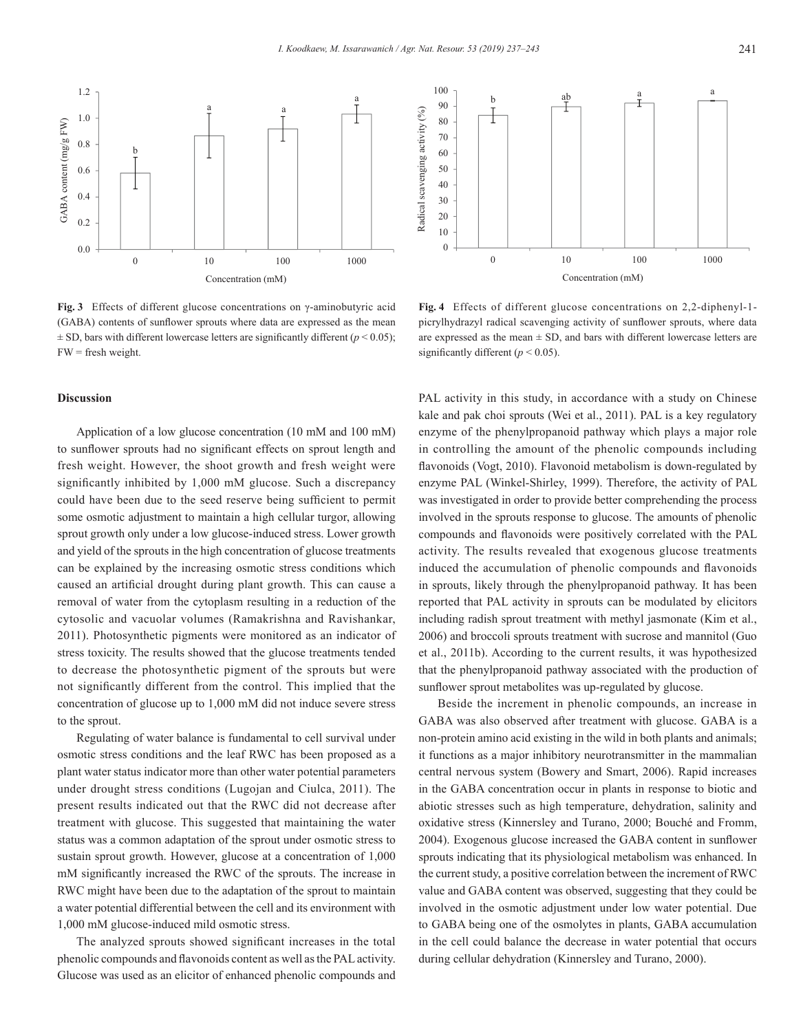

**Fig. 3** Effects of different glucose concentrations on γ-aminobutyric acid (GABA) contents of sunflower sprouts where data are expressed as the mean  $\pm$  SD, bars with different lowercase letters are significantly different ( $p$  < 0.05);  $FW = fresh weight$ 

#### **Discussion**

Application of a low glucose concentration (10 mM and 100 mM) to sunflower sprouts had no significant effects on sprout length and fresh weight. However, the shoot growth and fresh weight were significantly inhibited by 1,000 mM glucose. Such a discrepancy could have been due to the seed reserve being sufficient to permit some osmotic adjustment to maintain a high cellular turgor, allowing sprout growth only under a low glucose-induced stress. Lower growth and yield of the sprouts in the high concentration of glucose treatments can be explained by the increasing osmotic stress conditions which caused an artificial drought during plant growth. This can cause a removal of water from the cytoplasm resulting in a reduction of the cytosolic and vacuolar volumes (Ramakrishna and Ravishankar, 2011). Photosynthetic pigments were monitored as an indicator of stress toxicity. The results showed that the glucose treatments tended to decrease the photosynthetic pigment of the sprouts but were not significantly different from the control. This implied that the concentration of glucose up to 1,000 mM did not induce severe stress to the sprout.

Regulating of water balance is fundamental to cell survival under osmotic stress conditions and the leaf RWC has been proposed as a plant water status indicator more than other water potential parameters under drought stress conditions (Lugojan and Ciulca, 2011). The present results indicated out that the RWC did not decrease after treatment with glucose. This suggested that maintaining the water status was a common adaptation of the sprout under osmotic stress to sustain sprout growth. However, glucose at a concentration of 1,000 mM significantly increased the RWC of the sprouts. The increase in RWC might have been due to the adaptation of the sprout to maintain a water potential differential between the cell and its environment with 1,000 mM glucose-induced mild osmotic stress.

The analyzed sprouts showed significant increases in the total phenolic compounds and flavonoids content as well as the PAL activity. Glucose was used as an elicitor of enhanced phenolic compounds and



**Fig. 4** Effects of different glucose concentrations on 2,2-diphenyl-1 picrylhydrazyl radical scavenging activity of sunflower sprouts, where data are expressed as the mean  $\pm$  SD, and bars with different lowercase letters are significantly different ( $p \le 0.05$ ).

PAL activity in this study, in accordance with a study on Chinese kale and pak choi sprouts (Wei et al., 2011). PAL is a key regulatory enzyme of the phenylpropanoid pathway which plays a major role in controlling the amount of the phenolic compounds including flavonoids (Vogt, 2010). Flavonoid metabolism is down-regulated by enzyme PAL (Winkel-Shirley, 1999). Therefore, the activity of PAL was investigated in order to provide better comprehending the process involved in the sprouts response to glucose. The amounts of phenolic compounds and flavonoids were positively correlated with the PAL activity. The results revealed that exogenous glucose treatments induced the accumulation of phenolic compounds and flavonoids in sprouts, likely through the phenylpropanoid pathway. It has been reported that PAL activity in sprouts can be modulated by elicitors including radish sprout treatment with methyl jasmonate (Kim et al., 2006) and broccoli sprouts treatment with sucrose and mannitol (Guo et al., 2011b). According to the current results, it was hypothesized that the phenylpropanoid pathway associated with the production of sunflower sprout metabolites was up-regulated by glucose.

Beside the increment in phenolic compounds, an increase in GABA was also observed after treatment with glucose. GABA is a non-protein amino acid existing in the wild in both plants and animals; it functions as a major inhibitory neurotransmitter in the mammalian central nervous system (Bowery and Smart, 2006). Rapid increases in the GABA concentration occur in plants in response to biotic and abiotic stresses such as high temperature, dehydration, salinity and oxidative stress (Kinnersley and Turano, 2000; Bouché and Fromm, 2004). Exogenous glucose increased the GABA content in sunflower sprouts indicating that its physiological metabolism was enhanced. In the current study, a positive correlation between the increment of RWC value and GABA content was observed, suggesting that they could be involved in the osmotic adjustment under low water potential. Due to GABA being one of the osmolytes in plants, GABA accumulation in the cell could balance the decrease in water potential that occurs during cellular dehydration (Kinnersley and Turano, 2000).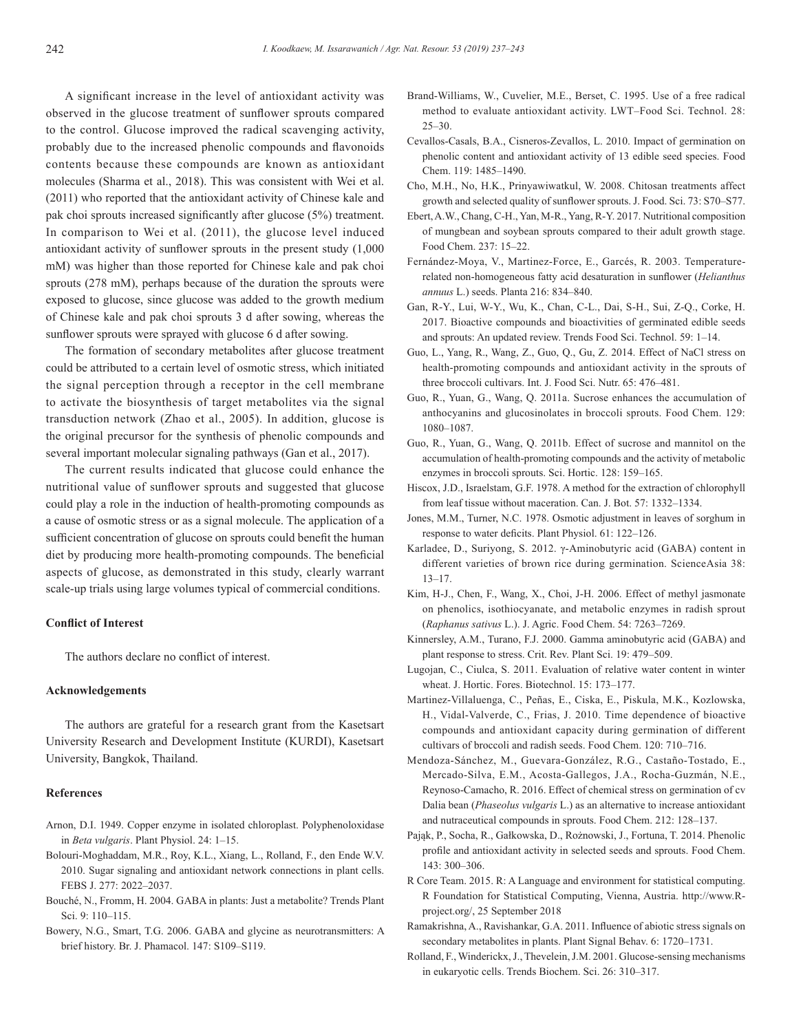A significant increase in the level of antioxidant activity was observed in the glucose treatment of sunflower sprouts compared to the control. Glucose improved the radical scavenging activity, probably due to the increased phenolic compounds and flavonoids contents because these compounds are known as antioxidant molecules (Sharma et al., 2018). This was consistent with Wei et al. (2011) who reported that the antioxidant activity of Chinese kale and pak choi sprouts increased significantly after glucose (5%) treatment. In comparison to Wei et al. (2011), the glucose level induced antioxidant activity of sunflower sprouts in the present study (1,000 mM) was higher than those reported for Chinese kale and pak choi sprouts (278 mM), perhaps because of the duration the sprouts were exposed to glucose, since glucose was added to the growth medium of Chinese kale and pak choi sprouts 3 d after sowing, whereas the sunflower sprouts were sprayed with glucose 6 d after sowing.

The formation of secondary metabolites after glucose treatment could be attributed to a certain level of osmotic stress, which initiated the signal perception through a receptor in the cell membrane to activate the biosynthesis of target metabolites via the signal transduction network (Zhao et al., 2005). In addition, glucose is the original precursor for the synthesis of phenolic compounds and several important molecular signaling pathways (Gan et al., 2017).

The current results indicated that glucose could enhance the nutritional value of sunflower sprouts and suggested that glucose could play a role in the induction of health-promoting compounds as a cause of osmotic stress or as a signal molecule. The application of a sufficient concentration of glucose on sprouts could benefit the human diet by producing more health-promoting compounds. The beneficial aspects of glucose, as demonstrated in this study, clearly warrant scale-up trials using large volumes typical of commercial conditions.

## **Conflict of Interest**

The authors declare no conflict of interest.

#### **Acknowledgements**

The authors are grateful for a research grant from the Kasetsart University Research and Development Institute (KURDI), Kasetsart University, Bangkok, Thailand.

#### **References**

- Arnon, D.I. 1949. Copper enzyme in isolated chloroplast. Polyphenoloxidase in *Beta vulgaris*. Plant Physiol. 24: 1–15.
- Bolouri-Moghaddam, M.R., Roy, K.L., Xiang, L., Rolland, F., den Ende W.V. 2010. Sugar signaling and antioxidant network connections in plant cells. FEBS J. 277: 2022–2037.
- Bouché, N., Fromm, H. 2004. GABA in plants: Just a metabolite? Trends Plant Sci. 9: 110–115.
- Bowery, N.G., Smart, T.G. 2006. GABA and glycine as neurotransmitters: A brief history. Br. J. Phamacol. 147: S109–S119.
- Brand-Williams, W., Cuvelier, M.E., Berset, C. 1995. Use of a free radical method to evaluate antioxidant activity. LWT–Food Sci. Technol. 28: 25–30.
- Cevallos-Casals, B.A., Cisneros-Zevallos, L. 2010. Impact of germination on phenolic content and antioxidant activity of 13 edible seed species. Food Chem. 119: 1485–1490.
- Cho, M.H., No, H.K., Prinyawiwatkul, W. 2008. Chitosan treatments affect growth and selected quality of sunflower sprouts. J. Food. Sci. 73: S70–S77.
- Ebert, A.W., Chang, C-H., Yan, M-R., Yang, R-Y. 2017. Nutritional composition of mungbean and soybean sprouts compared to their adult growth stage. Food Chem. 237: 15–22.
- Fernández-Moya, V., Martinez-Force, E., Garcés, R. 2003. Temperaturerelated non-homogeneous fatty acid desaturation in sunflower (*Helianthus annuus* L.) seeds. Planta 216: 834–840.
- Gan, R-Y., Lui, W-Y., Wu, K., Chan, C-L., Dai, S-H., Sui, Z-Q., Corke, H. 2017. Bioactive compounds and bioactivities of germinated edible seeds and sprouts: An updated review. Trends Food Sci. Technol. 59: 1–14.
- Guo, L., Yang, R., Wang, Z., Guo, Q., Gu, Z. 2014. Effect of NaCl stress on health-promoting compounds and antioxidant activity in the sprouts of three broccoli cultivars. Int. J. Food Sci. Nutr. 65: 476–481.
- Guo, R., Yuan, G., Wang, Q. 2011a. Sucrose enhances the accumulation of anthocyanins and glucosinolates in broccoli sprouts. Food Chem. 129: 1080–1087.
- Guo, R., Yuan, G., Wang, Q. 2011b. Effect of sucrose and mannitol on the accumulation of health-promoting compounds and the activity of metabolic enzymes in broccoli sprouts. Sci. Hortic. 128: 159–165.
- Hiscox, J.D., Israelstam, G.F. 1978. A method for the extraction of chlorophyll from leaf tissue without maceration. Can. J. Bot. 57: 1332–1334.
- Jones, M.M., Turner, N.C. 1978. Osmotic adjustment in leaves of sorghum in response to water deficits. Plant Physiol. 61: 122–126.
- Karladee, D., Suriyong, S. 2012. γ-Aminobutyric acid (GABA) content in different varieties of brown rice during germination. ScienceAsia 38: 13–17.
- Kim, H-J., Chen, F., Wang, X., Choi, J-H. 2006. Effect of methyl jasmonate on phenolics, isothiocyanate, and metabolic enzymes in radish sprout (*Raphanus sativus* L.). J. Agric. Food Chem. 54: 7263–7269.
- Kinnersley, A.M., Turano, F.J. 2000. Gamma aminobutyric acid (GABA) and plant response to stress. Crit. Rev. Plant Sci. 19: 479–509.
- Lugojan, C., Ciulca, S. 2011. Evaluation of relative water content in winter wheat. J. Hortic. Fores. Biotechnol. 15: 173–177.
- Martinez-Villaluenga, C., Peñas, E., Ciska, E., Piskula, M.K., Kozlowska, H., Vidal-Valverde, C., Frias, J. 2010. Time dependence of bioactive compounds and antioxidant capacity during germination of different cultivars of broccoli and radish seeds. Food Chem. 120: 710–716.
- Mendoza-Sánchez, M., Guevara-González, R.G., Castaño-Tostado, E., Mercado-Silva, E.M., Acosta-Gallegos, J.A., Rocha-Guzmán, N.E., Reynoso-Camacho, R. 2016. Effect of chemical stress on germination of cv Dalia bean (*Phaseolus vulgaris* L.) as an alternative to increase antioxidant and nutraceutical compounds in sprouts. Food Chem. 212: 128–137.
- Pająk, P., Socha, R., Gałkowska, D., Rożnowski, J., Fortuna, T. 2014. Phenolic profile and antioxidant activity in selected seeds and sprouts. Food Chem. 143: 300–306.
- R Core Team. 2015. R: A Language and environment for statistical computing. R Foundation for Statistical Computing, Vienna, Austria. http://www.Rproject.org/, 25 September 2018
- Ramakrishna, A., Ravishankar, G.A. 2011. Influence of abiotic stress signals on secondary metabolites in plants. Plant Signal Behav. 6: 1720–1731.
- Rolland, F., Winderickx, J., Thevelein, J.M. 2001. Glucose-sensing mechanisms in eukaryotic cells. Trends Biochem. Sci. 26: 310–317.